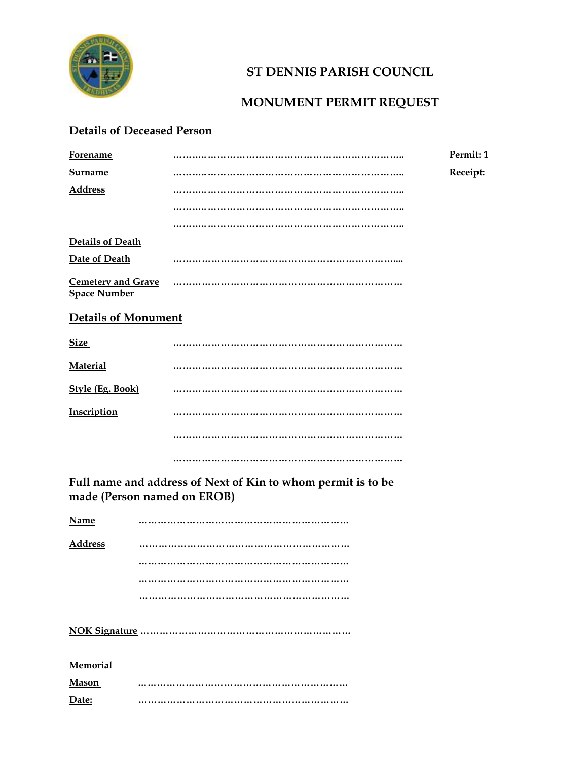

## **ST DENNIS PARISH COUNCIL**

## **MONUMENT PERMIT REQUEST**

## **Details of Deceased Person**

| <b>Forename</b>                                  |                                                                                             | Permit: 1 |
|--------------------------------------------------|---------------------------------------------------------------------------------------------|-----------|
| Surname                                          |                                                                                             | Receipt:  |
| Address                                          |                                                                                             |           |
|                                                  |                                                                                             |           |
|                                                  |                                                                                             |           |
| <b>Details of Death</b>                          |                                                                                             |           |
| Date of Death                                    |                                                                                             |           |
| <b>Cemetery and Grave</b><br><b>Space Number</b> |                                                                                             |           |
| <b>Details of Monument</b>                       |                                                                                             |           |
| <b>Size</b>                                      |                                                                                             |           |
| <b>Material</b>                                  |                                                                                             |           |
| <b>Style (Eg. Book)</b>                          |                                                                                             |           |
| Inscription                                      |                                                                                             |           |
|                                                  |                                                                                             |           |
|                                                  |                                                                                             |           |
|                                                  | Full name and address of Next of Kin to whom permit is to be<br>made (Person named on EROB) |           |
| <b>Name</b>                                      |                                                                                             |           |
| <b>Address</b>                                   |                                                                                             |           |
|                                                  |                                                                                             |           |
|                                                  |                                                                                             |           |
|                                                  |                                                                                             |           |
|                                                  |                                                                                             |           |
| <b>Memorial</b>                                  |                                                                                             |           |
| Mason                                            |                                                                                             |           |
| Date:                                            |                                                                                             |           |